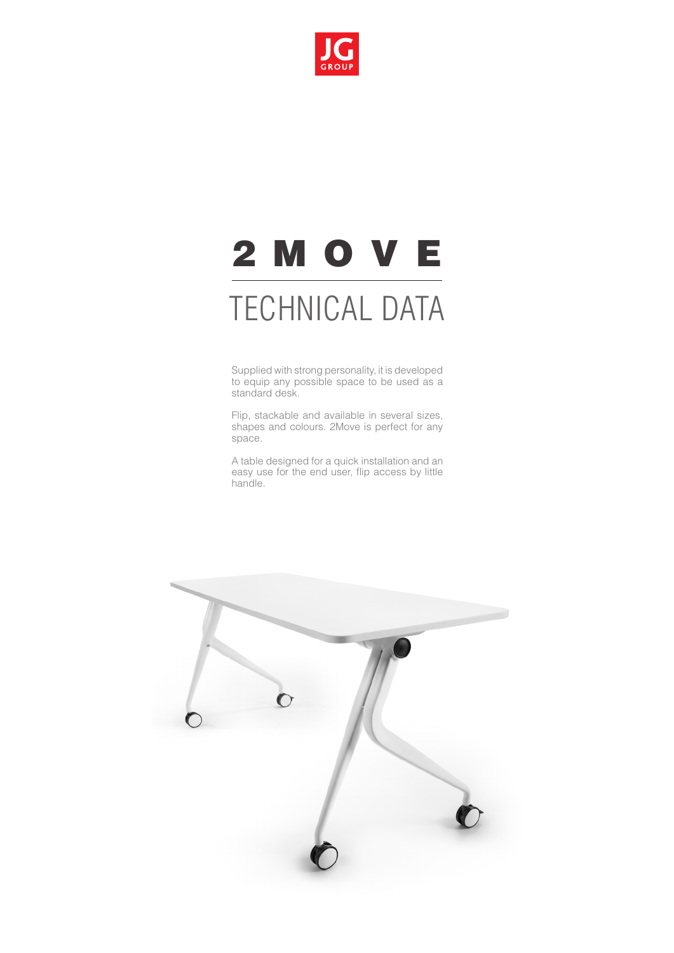

# 2 M O V E

## TECHNICAL DATA

Supplied with strong personality, it is developed to equip any possible space to be used as a standard desk.

Flip, stackable and available in several sizes, shapes and colours. 2Move is perfect for any space.

A table designed for a quick installation and an easy use for the end user, flip access by little handle.

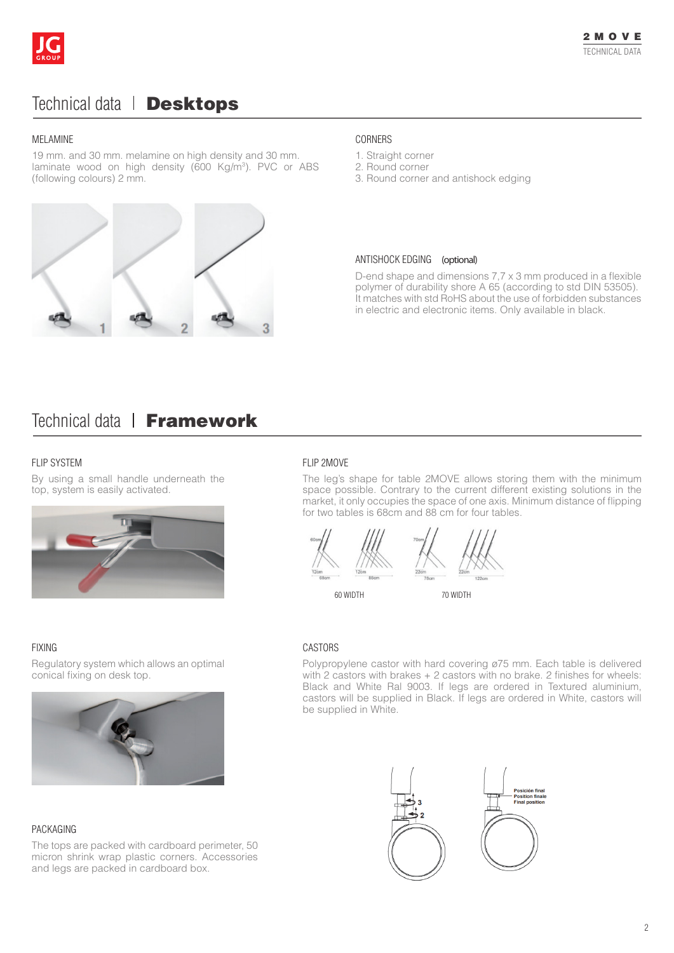

## Technical data | Desktops

#### MELAMINE

19 mm. and 30 mm. melamine on high density and 30 mm. laminate wood on high density (600 Kg/m<sup>3</sup>). PVC or ABS (following colours) 2 mm.



#### CORNERS

- 1. Straight corner
- 2. Round corner
- 3. Round corner and antishock edging

#### ANTISHOCK EDGING (optional)

D-end shape and dimensions 7,7 x 3 mm produced in a flexible polymer of durability shore A 65 (according to std DIN 53505). It matches with std RoHS about the use of forbidden substances in electric and electronic items. Only available in black.

### Technical data | Framework

#### FLIP SYSTEM **FLIP 2MOVE**

By using a small handle underneath the top, system is easily activated.



The leg's shape for table 2MOVE allows storing them with the minimum space possible. Contrary to the current different existing solutions in the market, it only occupies the space of one axis. Minimum distance of flipping for two tables is 68cm and 88 cm for four tables.



60 WIDTH 70 WIDTH

be supplied in White.



Polypropylene castor with hard covering ø75 mm. Each table is delivered with 2 castors with brakes + 2 castors with no brake. 2 finishes for wheels: Black and White Ral 9003. If legs are ordered in Textured aluminium, castors will be supplied in Black. If legs are ordered in White, castors will

#### FIXING CASTORS

Regulatory system which allows an optimal conical fixing on desk top.



#### PACKAGING

The tops are packed with cardboard perimeter, 50 micron shrink wrap plastic corners. Accessories and legs are packed in cardboard box.

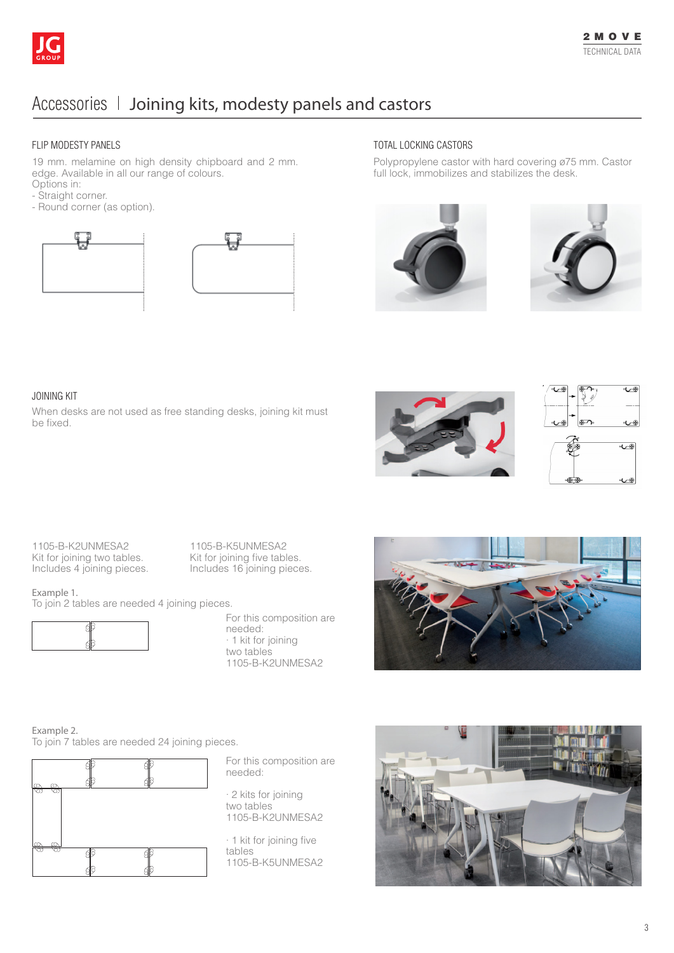

## Accessories I Joining kits, modesty panels and castors

#### FLIP MODESTY PANELS

19 mm. melamine on high density chipboard and 2 mm. edge. Available in all our range of colours. Options in:

- 
- Straight corner.
- Round corner (as option).





#### TOTAL LOCKING CASTORS

Polypropylene castor with hard covering ø75 mm. Castor full lock, immobilizes and stabilizes the desk.





#### JOINING KIT

When desks are not used as free standing desks, joining kit must be fixed.





1105-B-K2UNMESA2 Kit for joining two tables. Includes 4 joining pieces.

1105-B-K5UNMESA2 Kit for joining five tables. Includes 16 joining pieces.

Example 1.

To join 2 tables are needed 4 joining pieces.



For this composition are needed: · 1 kit for joining two tables 1105-B-K2UNMESA2



Example 2. To join 7 tables are needed 24 joining pieces.



For this composition are needed:

· 2 kits for joining two tables 1105-B-K2UNMESA2

· 1 kit for joining five tables 1105-B-K5UNMESA2